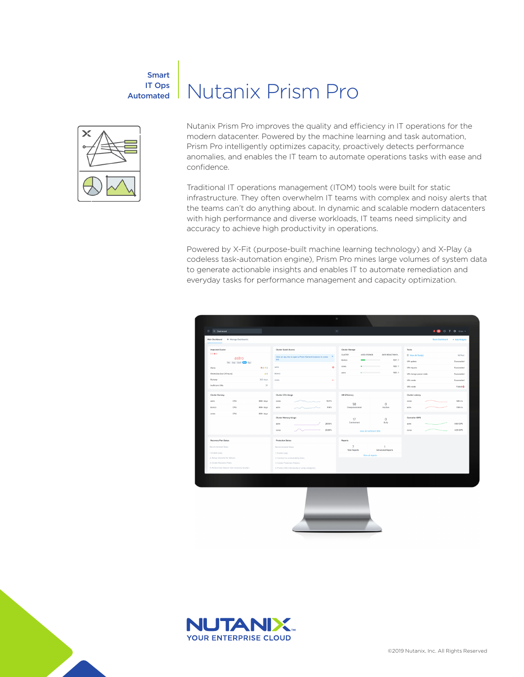# Smart IT Ops Automated



Nutanix Prism Pro improves the quality and efficiency in IT operations for the modern datacenter. Powered by the machine learning and task automation, Prism Pro intelligently optimizes capacity, proactively detects performance anomalies, and enables the IT team to automate operations tasks with ease and confidence.

Nutanix Prism Pro

Traditional IT operations management (ITOM) tools were built for static infrastructure. They often overwhelm IT teams with complex and noisy alerts that the teams can't do anything about. In dynamic and scalable modern datacenters with high performance and diverse workloads, IT teams need simplicity and accuracy to achieve high productivity in operations.

Powered by X-Fit (purpose-built machine learning technology) and X-Play (a codeless task-automation engine), Prism Pro mines large volumes of system data to generate actionable insights and enables IT to automate remediation and everyday tasks for performance management and capacity optimization.





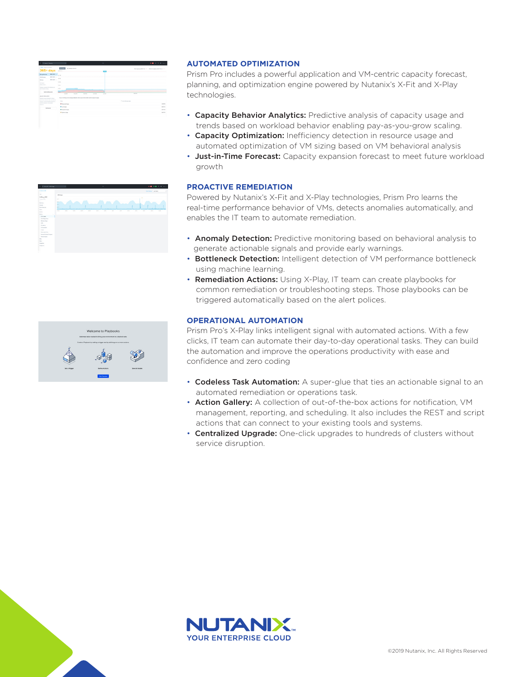| 365+ days                                                          | <b>Bridge</b><br>As instructions<br>post to                                                 | RA COUNCERTS - Blune Council (FASTER) - |
|--------------------------------------------------------------------|---------------------------------------------------------------------------------------------|-----------------------------------------|
| <b>BAY GOTS</b><br><b>Being Bureau</b>                             | <b>COMPANY</b>                                                                              |                                         |
| MAIN FALSE IN<br><b>INDIA</b>                                      |                                                                                             |                                         |
| <b>MO EAST</b><br>Money of                                         | $\sim$ 10                                                                                   |                                         |
| orrego<br><b>WASHINGTON</b>                                        | <b>Strip</b>                                                                                |                                         |
|                                                                    | 3.78                                                                                        |                                         |
| Arkan analyzini reference:<br><b>WAS FRAMED FOR ANY</b>            | 8.78                                                                                        |                                         |
| Connacterian                                                       | <b>START</b><br><b>MARKET</b><br><b>TOM</b><br><b>ALCOHOL</b><br><b>MAYS</b><br><b>ROYA</b> | an un-                                  |
| ALAUT WALLINTS<br>Grand seven and day for four                     | The excitering served decay effective at the deste level leving description of a cas-       |                                         |
| permet conclus for correlated<br>products between these forest on- | <b>Since</b>                                                                                | · Acces Beneficture                     |
| marked to private computation.<br><b>Service</b>                   | · Anymed State                                                                              | 19.58                                   |
| <b>Serbana</b>                                                     | <b><i><u>Our inner</u></i></b>                                                              | pacts.                                  |
|                                                                    | · Inspiration                                                                               | cerre                                   |
|                                                                    | <b>B</b> School Using                                                                       | one                                     |
|                                                                    |                                                                                             |                                         |

## **AUTOMATED OPTIMIZATION**

Prism Pro includes a powerful application and VM-centric capacity forecast, planning, and optimization engine powered by Nutanix's X-Fit and X-Play technologies.

- Capacity Behavior Analytics: Predictive analysis of capacity usage and trends based on workload behavior enabling pay-as-you-grow scaling.
- Capacity Optimization: Inefficiency detection in resource usage and automated optimization of VM sizing based on VM behavioral analysis
- Just-in-Time Forecast: Capacity expansion forecast to meet future workload growth

### **PROACTIVE REMEDIATION**

Powered by Nutanix's X-Fit and X-Play technologies, Prism Pro learns the real-time performance behavior of VMs, detects anomalies automatically, and enables the IT team to automate remediation.

- Anomaly Detection: Predictive monitoring based on behavioral analysis to generate actionable signals and provide early warnings.
- Bottleneck Detection: Intelligent detection of VM performance bottleneck using machine learning.
- Remediation Actions: Using X-Play, IT team can create playbooks for common remediation or troubleshooting steps. Those playbooks can be triggered automatically based on the alert polices.

#### **OPERATIONAL AUTOMATION**

Prism Pro's X-Play links intelligent signal with automated actions. With a few clicks, IT team can automate their day-to-day operational tasks. They can build the automation and improve the operations productivity with ease and confidence and zero coding

- Codeless Task Automation: A super-glue that ties an actionable signal to an automated remediation or operations task.
- Action Gallery: A collection of out-of-the-box actions for notification, VM management, reporting, and scheduling. It also includes the REST and script actions that can connect to your existing tools and systems.
- Centralized Upgrade: One-click upgrades to hundreds of clusters without service disruption.





 $\begin{array}{l} \begin{array}{l} \mbox{for $n=1$}\\ \mbox{for $n=1$}\\ \mbox{for $n=1$}\\ \mbox{for $n=1$}\\ \mbox{for $n=1$}\\ \mbox{for $n=1$}\\ \mbox{for $n=1$}\\ \mbox{for $n=1$}\\ \mbox{for $n=1$}\\ \mbox{for $n=1$}\\ \mbox{for $n=1$}\\ \mbox{for $n=1$}\\ \mbox{for $n=1$}\\ \mbox{for $n=1$}\\ \mbox{for $n=1$}\\ \mbox{for $n=1$}\\ \mbox{for $n=1$}\\ \mbox{for $n=1$}\\ \mbox{for $n=$